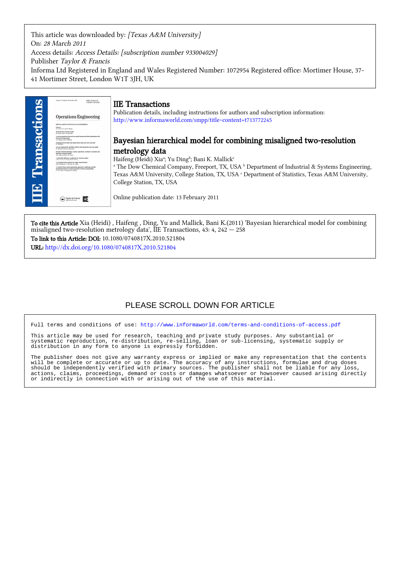This article was downloaded by: [Texas A&M University] On: 28 March 2011 Access details: Access Details: [subscription number 933004029] Publisher Taylor & Francis Informa Ltd Registered in England and Wales Registered Number: 1072954 Registered office: Mortimer House, 37- 41 Mortimer Street, London W1T 3JH, UK



To cite this Article Xia (Heidi) , Haifeng , Ding, Yu and Mallick, Bani K.(2011) 'Bayesian hierarchical model for combining misaligned two-resolution metrology data', IIE Transactions, 43: 4, 242 — 258 To link to this Article: DOI: 10.1080/0740817X.2010.521804 URL: <http://dx.doi.org/10.1080/0740817X.2010.521804>

# PLEASE SCROLL DOWN FOR ARTICLE

Full terms and conditions of use:<http://www.informaworld.com/terms-and-conditions-of-access.pdf>

This article may be used for research, teaching and private study purposes. Any substantial or systematic reproduction, re-distribution, re-selling, loan or sub-licensing, systematic supply or distribution in any form to anyone is expressly forbidden.

The publisher does not give any warranty express or implied or make any representation that the contents will be complete or accurate or up to date. The accuracy of any instructions, formulae and drug doses should be independently verified with primary sources. The publisher shall not be liable for any loss, actions, claims, proceedings, demand or costs or damages whatsoever or howsoever caused arising directly or indirectly in connection with or arising out of the use of this material.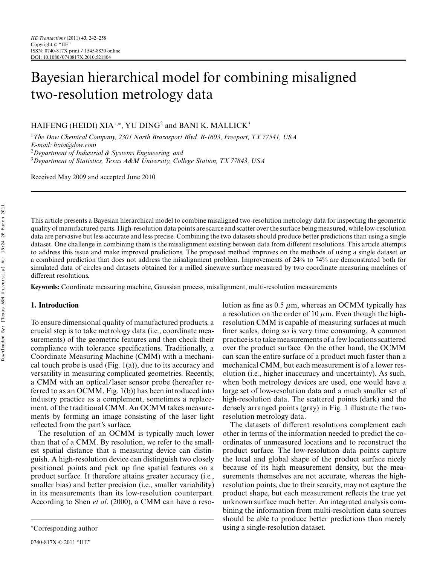# Bayesian hierarchical model for combining misaligned two-resolution metrology data

HAIFENG (HEIDI) XIA<sup>1,∗</sup>, YU DING<sup>2</sup> and BANI K. MALLICK<sup>3</sup>

<sup>1</sup>*The Dow Chemical Company, 2301 North Brazosport Blvd. B-1603, Freeport, TX 77541, USA E-mail: hxia@dow.com* <sup>2</sup>*Department of Industrial & Systems Engineering, and*

<sup>3</sup>*Department of Statistics, Texas A&M University, College Station, TX 77843, USA*

Received May 2009 and accepted June 2010

This article presents a Bayesian hierarchical model to combine misaligned two-resolution metrology data for inspecting the geometric quality of manufactured parts. High-resolution data points are scarce and scatter over the surface being measured, while low-resolution data are pervasive but less accurate and less precise. Combining the two datasets should produce better predictions than using a single dataset. One challenge in combining them is the misalignment existing between data from different resolutions. This article attempts to address this issue and make improved predictions. The proposed method improves on the methods of using a single dataset or a combined prediction that does not address the misalignment problem. Improvements of 24% to 74% are demonstrated both for simulated data of circles and datasets obtained for a milled sinewave surface measured by two coordinate measuring machines of different resolutions.

**Keywords:** Coordinate measuring machine, Gaussian process, misalignment, multi-resolution measurements

### **1. Introduction**

To ensure dimensional quality of manufactured products, a crucial step is to take metrology data (i.e., coordinate measurements) of the geometric features and then check their compliance with tolerance specifications. Traditionally, a Coordinate Measuring Machine (CMM) with a mechanical touch probe is used (Fig. 1(a)), due to its accuracy and versatility in measuring complicated geometries. Recently, a CMM with an optical/laser sensor probe (hereafter referred to as an OCMM, Fig. 1(b)) has been introduced into industry practice as a complement, sometimes a replacement, of the traditional CMM. An OCMM takes measurements by forming an image consisting of the laser light reflected from the part's surface.

The resolution of an OCMM is typically much lower than that of a CMM. By resolution, we refer to the smallest spatial distance that a measuring device can distinguish. A high-resolution device can distinguish two closely positioned points and pick up fine spatial features on a product surface. It therefore attains greater accuracy (i.e., smaller bias) and better precision (i.e., smaller variability) in its measurements than its low-resolution counterpart. According to Shen *et al*. (2000), a CMM can have a reso-

lution as fine as  $0.5 \mu m$ , whereas an OCMM typically has a resolution on the order of 10  $\mu$ m. Even though the highresolution CMM is capable of measuring surfaces at much finer scales, doing so is very time consuming. A common practice is to take measurements of a few locations scattered over the product surface. On the other hand, the OCMM can scan the entire surface of a product much faster than a mechanical CMM, but each measurement is of a lower resolution (i.e., higher inaccuracy and uncertainty). As such, when both metrology devices are used, one would have a large set of low-resolution data and a much smaller set of high-resolution data. The scattered points (dark) and the densely arranged points (gray) in Fig. 1 illustrate the tworesolution metrology data.

The datasets of different resolutions complement each other in terms of the information needed to predict the coordinates of unmeasured locations and to reconstruct the product surface. The low-resolution data points capture the local and global shape of the product surface nicely because of its high measurement density, but the measurements themselves are not accurate, whereas the highresolution points, due to their scarcity, may not capture the product shape, but each measurement reflects the true yet unknown surface much better. An integrated analysis combining the information from multi-resolution data sources should be able to produce better predictions than merely using a single-resolution dataset.

<sup>∗</sup>Corresponding author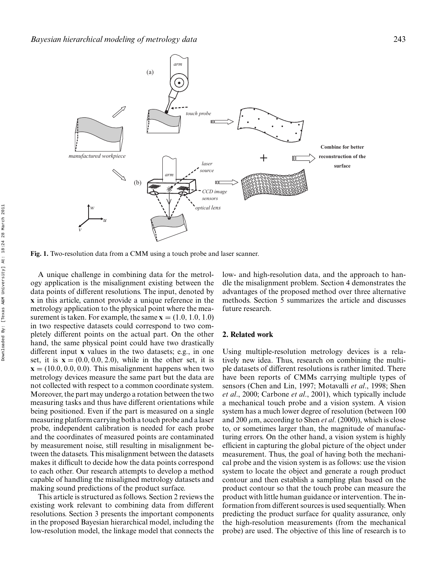

**Fig. 1.** Two-resolution data from a CMM using a touch probe and laser scanner.

A unique challenge in combining data for the metrology application is the misalignment existing between the data points of different resolutions. The input, denoted by **x** in this article, cannot provide a unique reference in the metrology application to the physical point where the measurement is taken. For example, the same  $\mathbf{x} = (1.0, 1.0, 1.0)$ in two respective datasets could correspond to two completely different points on the actual part. On the other hand, the same physical point could have two drastically different input **x** values in the two datasets; e.g., in one set, it is  $x = (0.0, 0.0, 2.0)$ , while in the other set, it is  $\mathbf{x} = (10.0, 0.0, 0.0)$ . This misalignment happens when two metrology devices measure the same part but the data are not collected with respect to a common coordinate system. Moreover, the part may undergo a rotation between the two measuring tasks and thus have different orientations while being positioned. Even if the part is measured on a single measuring platform carrying both a touch probe and a laser probe, independent calibration is needed for each probe and the coordinates of measured points are contaminated by measurement noise, still resulting in misalignment between the datasets. This misalignment between the datasets makes it difficult to decide how the data points correspond to each other. Our research attempts to develop a method capable of handling the misaligned metrology datasets and making sound predictions of the product surface.

This article is structured as follows. Section 2 reviews the existing work relevant to combining data from different resolutions. Section 3 presents the important components in the proposed Bayesian hierarchical model, including the low-resolution model, the linkage model that connects the low- and high-resolution data, and the approach to handle the misalignment problem. Section 4 demonstrates the advantages of the proposed method over three alternative methods. Section 5 summarizes the article and discusses future research.

#### **2. Related work**

Using multiple-resolution metrology devices is a relatively new idea. Thus, research on combining the multiple datasets of different resolutions is rather limited. There have been reports of CMMs carrying multiple types of sensors (Chen and Lin, 1997; Motavalli *et al*., 1998; Shen *et al*., 2000; Carbone *et al*., 2001), which typically include a mechanical touch probe and a vision system. A vision system has a much lower degree of resolution (between 100 and 200  $\mu$ m, according to Shen *et al.* (2000)), which is close to, or sometimes larger than, the magnitude of manufacturing errors. On the other hand, a vision system is highly efficient in capturing the global picture of the object under measurement. Thus, the goal of having both the mechanical probe and the vision system is as follows: use the vision system to locate the object and generate a rough product contour and then establish a sampling plan based on the product contour so that the touch probe can measure the product with little human guidance or intervention. The information from different sources is used sequentially. When predicting the product surface for quality assurance, only the high-resolution measurements (from the mechanical probe) are used. The objective of this line of research is to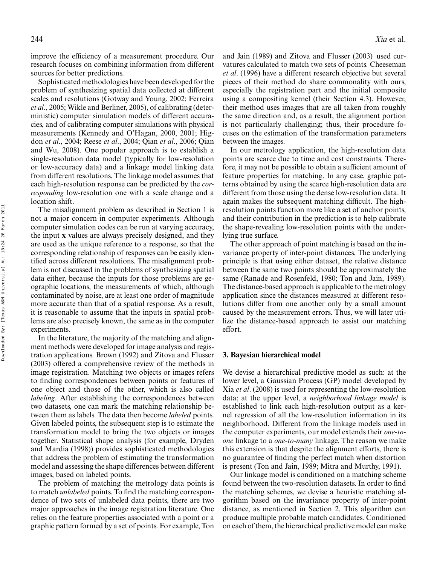improve the efficiency of a measurement procedure. Our research focuses on combining information from different sources for better predictions.

Sophisticated methodologies have been developed for the problem of synthesizing spatial data collected at different scales and resolutions (Gotway and Young, 2002; Ferreira *et al*., 2005; Wikle and Berliner, 2005), of calibrating (deterministic) computer simulation models of different accuracies, and of calibrating computer simulations with physical measurements (Kennedy and O'Hagan, 2000, 2001; Higdon *et al*., 2004; Reese *et al*., 2004; Qian *et al*., 2006; Qian and Wu, 2008). One popular approach is to establish a single-resolution data model (typically for low-resolution or low-accuracy data) and a linkage model linking data from different resolutions. The linkage model assumes that each high-resolution response can be predicted by the *corresponding* low-resolution one with a scale change and a location shift.

The misalignment problem as described in Section 1 is not a major concern in computer experiments. Although computer simulation codes can be run at varying accuracy, the input **x** values are always precisely designed, and they are used as the unique reference to a response, so that the corresponding relationship of responses can be easily identified across different resolutions. The misalignment problem is not discussed in the problems of synthesizing spatial data either, because the inputs for those problems are geographic locations, the measurements of which, although contaminated by noise, are at least one order of magnitude more accurate than that of a spatial response. As a result, it is reasonable to assume that the inputs in spatial problems are also precisely known, the same as in the computer experiments.

In the literature, the majority of the matching and alignment methods were developed for image analysis and registration applications. Brown (1992) and Zitova and Flusser (2003) offered a comprehensive review of the methods in image registration. Matching two objects or images refers to finding correspondences between points or features of one object and those of the other, which is also called *labeling*. After establishing the correspondences between two datasets, one can mark the matching relationship between them as labels. The data then become *labeled* points. Given labeled points, the subsequent step is to estimate the transformation model to bring the two objects or images together. Statistical shape analysis (for example, Dryden and Mardia (1998)) provides sophisticated methodologies that address the problem of estimating the transformation model and assessing the shape differences between different images, based on labeled points.

The problem of matching the metrology data points is to match *unlabeled* points. To find the matching correspondence of two sets of unlabeled data points, there are two major approaches in the image registration literature. One relies on the feature properties associated with a point or a graphic pattern formed by a set of points. For example, Ton

and Jain (1989) and Zitova and Flusser (2003) used curvatures calculated to match two sets of points. Cheeseman *et al*. (1996) have a different research objective but several pieces of their method do share commonality with ours, especially the registration part and the initial composite using a compositing kernel (their Section 4.3). However, their method uses images that are all taken from roughly the same direction and, as a result, the alignment portion is not particularly challenging; thus, their procedure focuses on the estimation of the transformation parameters between the images.

In our metrology application, the high-resolution data points are scarce due to time and cost constraints. Therefore, it may not be possible to obtain a sufficient amount of feature properties for matching. In any case, graphic patterns obtained by using the scarce high-resolution data are different from those using the dense low-resolution data. It again makes the subsequent matching difficult. The highresolution points function more like a set of anchor points, and their contribution in the prediction is to help calibrate the shape-revealing low-resolution points with the underlying true surface.

The other approach of point matching is based on the invariance property of inter-point distances. The underlying principle is that using either dataset, the relative distance between the same two points should be approximately the same (Ranade and Rosenfeld, 1980; Ton and Jain, 1989). The distance-based approach is applicable to the metrology application since the distances measured at different resolutions differ from one another only by a small amount caused by the measurement errors. Thus, we will later utilize the distance-based approach to assist our matching effort.

#### **3. Bayesian hierarchical model**

We devise a hierarchical predictive model as such: at the lower level, a Gaussian Process (GP) model developed by Xia *et al*. (2008) is used for representing the low-resolution data; at the upper level, a *neighborhood linkage model* is established to link each high-resolution output as a kernel regression of all the low-resolution information in its neighborhood. Different from the linkage models used in the computer experiments, our model extends their *one-toone* linkage to a *one-to-many* linkage. The reason we make this extension is that despite the alignment efforts, there is no guarantee of finding the perfect match when distortion is present (Ton and Jain, 1989; Mitra and Murthy, 1991).

Our linkage model is conditioned on a matching scheme found between the two-resolution datasets. In order to find the matching schemes, we devise a heuristic matching algorithm based on the invariance property of inter-point distance, as mentioned in Section 2. This algorithm can produce multiple probable match candidates. Conditioned on each of them, the hierarchical predictive model can make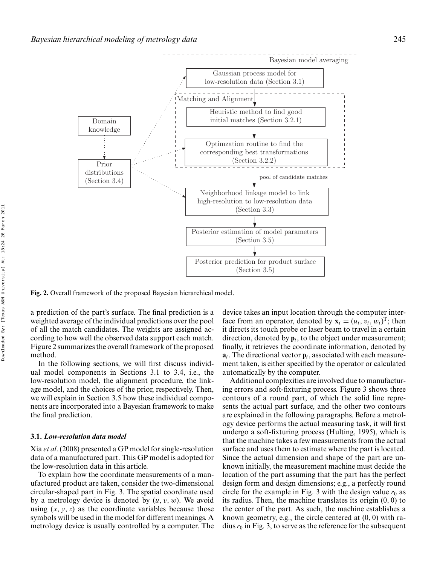

**Fig. 2.** Overall framework of the proposed Bayesian hierarchical model.

a prediction of the part's surface. The final prediction is a weighted average of the individual predictions over the pool of all the match candidates. The weights are assigned according to how well the observed data support each match. Figure 2 summarizes the overall framework of the proposed method.

In the following sections, we will first discuss individual model components in Sections 3.1 to 3.4, i.e., the low-resolution model, the alignment procedure, the linkage model, and the choices of the prior, respectively. Then, we will explain in Section 3.5 how these individual components are incorporated into a Bayesian framework to make the final prediction.

#### **3.1.** *Low-resolution data model*

Xia *et al*. (2008) presented a GP model for single-resolution data of a manufactured part. This GP model is adopted for the low-resolution data in this article.

To explain how the coordinate measurements of a manufactured product are taken, consider the two-dimensional circular-shaped part in Fig. 3. The spatial coordinate used by a metrology device is denoted by  $(u, v, w)$ . We avoid using (*x*, *y*, *z*) as the coordinate variables because those symbols will be used in the model for different meanings. A metrology device is usually controlled by a computer. The

device takes an input location through the computer interface from an operator, denoted by  $\mathbf{x}_i = (u_i, v_i, w_i)^T$ ; then it directs its touch probe or laser beam to travel in a certain direction, denoted by  $\mathbf{p}_i$ , to the object under measurement; finally, it retrieves the coordinate information, denoted by  $a_i$ . The directional vector  $p_i$ , associated with each measurement taken, is either specified by the operator or calculated automatically by the computer.

Additional complexities are involved due to manufacturing errors and soft-fixturing process. Figure 3 shows three contours of a round part, of which the solid line represents the actual part surface, and the other two contours are explained in the following paragraphs. Before a metrology device performs the actual measuring task, it will first undergo a soft-fixturing process (Hulting, 1995), which is that the machine takes a few measurements from the actual surface and uses them to estimate where the part is located. Since the actual dimension and shape of the part are unknown initially, the measurement machine must decide the location of the part assuming that the part has the perfect design form and design dimensions; e.g., a perfectly round circle for the example in Fig. 3 with the design value  $r_0$  as its radius. Then, the machine translates its origin (0, 0) to the center of the part. As such, the machine establishes a known geometry, e.g., the circle centered at (0, 0) with radius  $r_0$  in Fig. 3, to serve as the reference for the subsequent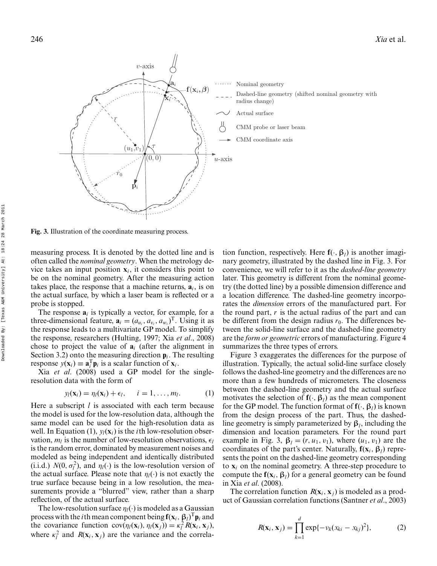

**Fig. 3.** Illustration of the coordinate measuring process.

measuring process. It is denoted by the dotted line and is often called the *nominal geometry*. When the metrology device takes an input position  $x_i$ , it considers this point to be on the nominal geometry. After the measuring action takes place, the response that a machine returns,  $a_i$ , is on the actual surface, by which a laser beam is reflected or a probe is stopped.

The response  $a_i$  is typically a vector, for example, for a three-dimensional feature,  $\mathbf{a}_i = (a_{u_i}, a_{v_i}, a_{w_i})^\text{T}$ . Using it as the response leads to a multivariate GP model. To simplify the response, researchers (Hulting, 1997; Xia *et al*., 2008) chose to project the value of **a***<sup>i</sup>* (after the alignment in Section 3.2) onto the measuring direction  $\mathbf{p}_i$ . The resulting response  $y(\mathbf{x}_i) \equiv \mathbf{a}_i^T \mathbf{p}_i$  is a scalar function of  $\mathbf{x}_i$ .

Xia *et al*. (2008) used a GP model for the singleresolution data with the form of

$$
y_l(\mathbf{x}_i) = \eta_l(\mathbf{x}_i) + \epsilon_l, \quad i = 1, \dots, m_l. \tag{1}
$$

Here a subscript *l* is associated with each term because the model is used for the low-resolution data, although the same model can be used for the high-resolution data as well. In Equation (1),  $y_l(\mathbf{x}_i)$  is the *i*th low-resolution observation,  $m_l$  is the number of low-resolution observations,  $\epsilon_l$ is the random error, dominated by measurement noises and modeled as being independent and identically distributed (i.i.d.)  $N(0, \sigma_l^2)$ , and  $\eta_l(\cdot)$  is the low-resolution version of the actual surface. Please note that  $\eta_l(\cdot)$  is not exactly the true surface because being in a low resolution, the measurements provide a "blurred" view, rather than a sharp reflection, of the actual surface.

The low-resolution surface  $\eta_l(\cdot)$  is modeled as a Gaussian process with the *i*th mean component being  $f(x_i, \beta_i)^T p_i$  and the covariance function  $cov(\eta_l(\mathbf{x}_i), \eta_l(\mathbf{x}_j)) = \kappa_l^2 R(\mathbf{x}_i, \mathbf{x}_j),$ where  $\kappa_l^2$  and  $R(\mathbf{x}_i, \mathbf{x}_j)$  are the variance and the correlation function, respectively. Here  $f(\cdot, \beta)$  is another imaginary geometry, illustrated by the dashed line in Fig. 3. For convenience, we will refer to it as the *dashed-line geometry* later. This geometry is different from the nominal geometry (the dotted line) by a possible dimension difference and a location difference. The dashed-line geometry incorporates the *dimension* errors of the manufactured part. For the round part, *r* is the actual radius of the part and can be different from the design radius  $r_0$ . The differences between the solid-line surface and the dashed-line geometry are the *form or geometric* errors of manufacturing. Figure 4 summarizes the three types of errors.

Figure 3 exaggerates the differences for the purpose of illustration. Typically, the actual solid-line surface closely follows the dashed-line geometry and the differences are no more than a few hundreds of micrometers. The closeness between the dashed-line geometry and the actual surface motivates the selection of  $f(\cdot, \beta)$  as the mean component for the GP model. The function format of  $f(\cdot, \beta)$  is known from the design process of the part. Thus, the dashedline geometry is simply parameterized by  $\beta$ <sub>*l*</sub>, including the dimension and location parameters. For the round part example in Fig. 3,  $\beta_l = (r, u_1, v_1)$ , where  $(u_1, v_1)$  are the coordinates of the part's center. Naturally,  $f(x_i, \beta_i)$  represents the point on the dashed-line geometry corresponding to  $\mathbf{x}_i$  on the nominal geometry. A three-step procedure to compute the  $f(x_i, \beta_i)$  for a general geometry can be found in Xia *et al*. (2008).

The correlation function  $R(\mathbf{x}_i, \mathbf{x}_j)$  is modeled as a product of Gaussian correlation functions (Santner *et al*., 2003)

$$
R(\mathbf{x}_i, \mathbf{x}_j) = \prod_{k=1}^d \exp\{-\nu_k (x_{ki} - x_{kj})^2\},\tag{2}
$$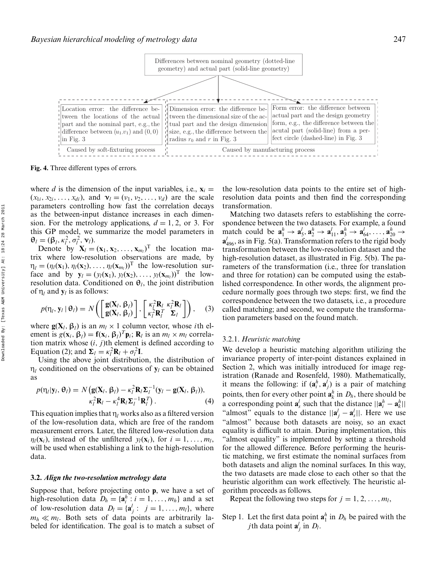

**Fig. 4.** Three different types of errors.

where *d* is the dimension of the input variables, i.e.,  $\mathbf{x}_i =$  $(x_{1i}, x_{2i}, \ldots, x_{di})$ , and  $\mathbf{v}_l = (v_1, v_2, \ldots, v_d)$  are the scale parameters controlling how fast the correlation decays as the between-input distance increases in each dimension. For the metrology applications,  $d = 1, 2$ , or 3. For this GP model, we summarize the model parameters in  $\theta_l = (\beta_l, \kappa_l^2, \sigma_l^2, \mathbf{v}_l).$ 

Denote by  $\mathbf{X}_l = (\mathbf{x}_1, \mathbf{x}_2, \dots, \mathbf{x}_{m_l})^T$  the location matrix where low-resolution observations are made, by  $\eta_l = (\eta_l(\mathbf{x}_1), \eta_l(\mathbf{x}_2), \dots, \eta_l(\mathbf{x}_{m_l}))$ <sup>T</sup> the low-resolution surface and by  $y_l = (y_l(x_1), y_l(x_2), \ldots, y_l(x_m))^T$  the lowresolution data. Conditioned on  $\theta$ <sup>*l*</sup>, the joint distribution of  $η$ *l* and  $y$ *l* is as follows:

$$
p(\eta_l, \mathbf{y}_l \mid \boldsymbol{\theta}_l) = N\left(\begin{bmatrix} \mathbf{g}(\mathbf{X}_l, \boldsymbol{\beta}_l) \\ \mathbf{g}(\mathbf{X}_l, \boldsymbol{\beta}_l) \end{bmatrix}, \begin{bmatrix} \kappa_l^2 \mathbf{R}_l & \kappa_l^2 \mathbf{R}_l \\ \kappa_l^2 \mathbf{R}_l^T & \boldsymbol{\Sigma}_l \end{bmatrix}\right), \quad (3)
$$

where  $g(X_l, \beta_l)$  is an  $m_l \times 1$  column vector, whose *i*th element is  $g(\mathbf{x}_i, \boldsymbol{\beta}_l) = \mathbf{f}(\mathbf{x}_i, \boldsymbol{\beta}_l)^T \mathbf{p}_i$ ;  $\mathbf{R}_l$  is an  $m_l \times m_l$  correlation matrix whose (*i*, *j*)th element is defined according to Equation (2); and  $\Sigma_l = \kappa_l^2 \mathbf{R}_l + \sigma_l^2 \mathbf{I}$ .

Using the above joint distribution, the distribution of  $\eta$ <sup>*l*</sup> conditioned on the observations of  $y$ <sup>*l*</sup> can be obtained as

$$
p(\eta_l|\mathbf{y}_l,\boldsymbol{\theta}_l) = N\left(\mathbf{g}(\mathbf{X}_l,\boldsymbol{\beta}_l) - \kappa_l^2 \mathbf{R}_l \boldsymbol{\Sigma}_l^{-1} (\mathbf{y}_l - \mathbf{g}(\mathbf{X}_l,\boldsymbol{\beta}_l)),\right.\\ \left. \kappa_l^2 \mathbf{R}_l - \kappa_l^4 \mathbf{R}_l \boldsymbol{\Sigma}_l^{-1} \mathbf{R}_l^T \right). \tag{4}
$$

This equation implies that  $\eta$  works also as a filtered version of the low-resolution data, which are free of the random measurement errors. Later, the filtered low-resolution data  $\eta_l(\mathbf{x}_i)$ , instead of the unfiltered  $y_l(\mathbf{x}_i)$ , for  $i = 1, \ldots, m_l$ , will be used when establishing a link to the high-resolution data.

#### **3.2.** *Align the two-resolution metrology data*

Suppose that, before projecting onto **p**, we have a set of high-resolution data  $D_h = \{a_i^h : i = 1, ..., m_h\}$  and a set of low-resolution data  $D_l = \{a_j^l : j = 1, ..., m_l\}$ , where  $m_h \ll m_l$ . Both sets of data points are arbitrarily labeled for identification. The goal is to match a subset of the low-resolution data points to the entire set of highresolution data points and then find the corresponding transformation.

Matching two datasets refers to establishing the correspondence between the two datasets. For example, a found match could be  $\mathbf{a}_1^h \to \mathbf{a}_5^l$ ,  $\mathbf{a}_2^h \to \mathbf{a}_{11}^l$ ,  $\mathbf{a}_3^h \to \mathbf{a}_{64}^l$ , ...,  $\mathbf{a}_{20}^h \to$ **a***l* <sup>496</sup>, as in Fig. 5(a). Transformation refers to the rigid body transformation between the low-resolution dataset and the high-resolution dataset, as illustrated in Fig. 5(b). The parameters of the transformation (i.e., three for translation and three for rotation) can be computed using the established correspondence. In other words, the alignment procedure normally goes through two steps: first, we find the correspondence between the two datasets, i.e., a procedure called matching; and second, we compute the transformation parameters based on the found match.

#### 3.2.1. *Heuristic matching*

We develop a heuristic matching algorithm utilizing the invariance property of inter-point distances explained in Section 2, which was initially introduced for image registration (Ranade and Rosenfeld, 1980). Mathematically, it means the following: if  $(\mathbf{a}_i^h, \mathbf{a}_j^l)$  is a pair of matching points, then for every other point  $\mathbf{a}_k^h$  in  $D_h$ , there should be a corresponding point  $\mathbf{a}_s^l$  such that the distance  $||\mathbf{a}_i^h - \mathbf{a}_k^h||$ "almost" equals to the distance  $||\mathbf{a}^l_j - \mathbf{a}^l_s||$ . Here we use "almost" because both datasets are noisy, so an exact equality is difficult to attain. During implementation, this "almost equality" is implemented by setting a threshold for the allowed difference. Before performing the heuristic matching, we first estimate the nominal surfaces from both datasets and align the nominal surfaces. In this way, the two datasets are made close to each other so that the heuristic algorithm can work effectively. The heuristic algorithm proceeds as follows.

Repeat the following two steps for  $j = 1, 2, \ldots, m_l$ ,

Step 1. Let the first data point  $\mathbf{a}_1^h$  in  $D_h$  be paired with the *j*th data point  $\mathbf{a}^l_j$  in  $D_l$ .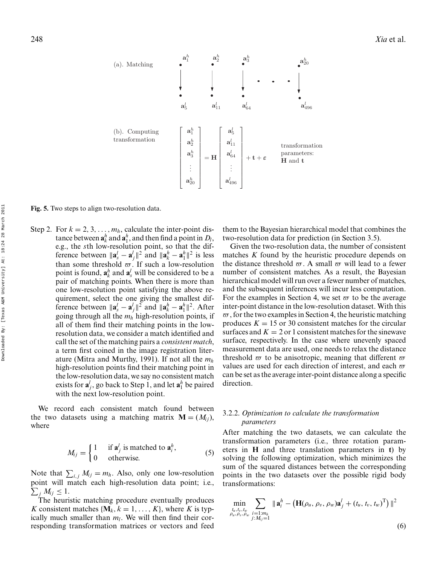

**Fig. 5.** Two steps to align two-resolution data.

Step 2. For  $k = 2, 3, \ldots, m_h$ , calculate the inter-point distance between  $\mathbf{a}_k^h$  and  $\mathbf{a}_1^h$ , and then find a point in  $D_l$ , e.g., the *s*th low-resolution point, so that the difference between  $\|\mathbf{a}_s^l - \mathbf{a}_j^l\|^2$  and  $\|\mathbf{a}_k^h - \mathbf{a}_1^h\|^2$  is less than some threshold  $\varpi$ . If such a low-resolution point is found,  $\mathbf{a}_k^h$  and  $\mathbf{a}_s^l$  will be considered to be a pair of matching points. When there is more than one low-resolution point satisfying the above requirement, select the one giving the smallest difference between  $\|\mathbf{a}_s^l - \mathbf{a}_j^l\|^2$  and  $\|\mathbf{a}_k^h - \mathbf{a}_1^h\|^2$ . After going through all the *mh* high-resolution points, if all of them find their matching points in the lowresolution data, we consider a match identified and call the set of the matching pairs a *consistent match*, a term first coined in the image registration literature (Mitra and Murthy, 1991). If not all the *mh* high-resolution points find their matching point in the low-resolution data, we say no consistent match exists for  $\mathbf{a}^l_j$ , go back to Step 1, and let  $\mathbf{a}^h_1$  be paired with the next low-resolution point.

We record each consistent match found between the two datasets using a matching matrix  $\mathbf{M} = (M_{ij})$ , where

$$
M_{ij} = \begin{cases} 1 & \text{if } \mathbf{a}_j^l \text{ is matched to } \mathbf{a}_i^h, \\ 0 & \text{otherwise.} \end{cases}
$$
 (5)

Note that  $\sum_{i,j} M_{ij} = m_h$ . Also, only one low-resolution point will match each high-resolution data point; i.e.,  $\sum_j M_{ij} \leq 1.$ 

The heuristic matching procedure eventually produces *K* consistent matches  $\{M_k, k = 1, \ldots, K\}$ , where *K* is typically much smaller than  $m_l$ . We will then find their corresponding transformation matrices or vectors and feed them to the Bayesian hierarchical model that combines the two-resolution data for prediction (in Section 3.5).

Given the two-resolution data, the number of consistent matches *K* found by the heuristic procedure depends on the distance threshold  $\varpi$ . A small  $\varpi$  will lead to a fewer number of consistent matches. As a result, the Bayesian hierarchical model will run over a fewer number of matches, and the subsequent inferences will incur less computation. For the examples in Section 4, we set  $\varpi$  to be the average inter-point distance in the low-resolution dataset. With this  $\varpi$ , for the two examples in Section 4, the heuristic matching produces  $K = 15$  or 30 consistent matches for the circular surfaces and  $K = 2$  or 1 consistent matches for the sinewave surface, respectively. In the case where unevenly spaced measurement data are used, one needs to relax the distance threshold  $\varpi$  to be anisotropic, meaning that different  $\varpi$ values are used for each direction of interest, and each  $\varpi$ can be set as the average inter-point distance along a specific direction.

## 3.2.2. *Optimization to calculate the transformation parameters*

After matching the two datasets, we can calculate the transformation parameters (i.e., three rotation parameters in **H** and three translation parameters in **t**) by solving the following optimization, which minimizes the sum of the squared distances between the corresponding points in the two datasets over the possible rigid body transformations:

$$
\min_{\substack{t_u, t_v, t_w \\ \rho_u, \rho_v, \rho_w}} \sum_{\substack{i=1:m_h \\ j:M_{ij}=1}} \| \mathbf{a}_i^h - \left( \mathbf{H}(\rho_u, \rho_v, \rho_w) \mathbf{a}_j^l + (t_u, t_v, t_w)^T \right) \|^2
$$
\n(6)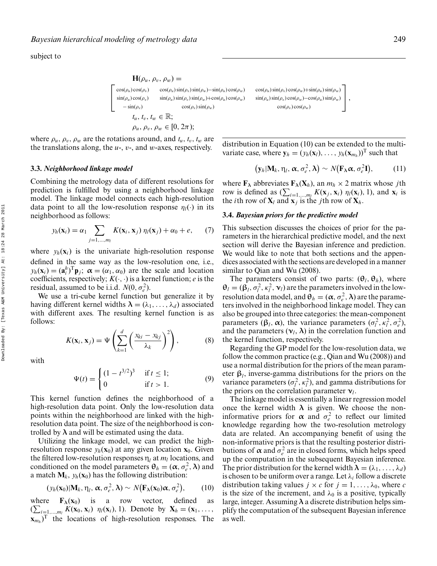subject to

 $H(\rho_u, \rho_v, \rho_w) =$ 

$$
\begin{bmatrix}\n\cos(\rho_u)\cos(\rho_v) & \cos(\rho_u)\sin(\rho_v)\sin(\rho_w)-\sin(\rho_u)\cos(\rho_w) & \cos(\rho_u)\sin(\rho_v)\cos(\rho_w)+\sin(\rho_u)\sin(\rho_w) \\
\sin(\rho_u)\cos(\rho_v) & \sin(\rho_u)\sin(\rho_v)\sin(\rho_w)+\cos(\rho_u)\cos(\rho_w) & \sin(\rho_u)\sin(\rho_v)\cos(\rho_w)-\cos(\rho_u)\sin(\rho_w) \\
-\sin(\rho_v) & \cos(\rho_v)\sin(\rho_w) & \cos(\rho_v)\cos(\rho_w) \\
t_u, t_v, t_w \in \mathbb{R}; \\
\rho_u, \rho_v, \rho_w \in [0, 2\pi); \n\end{bmatrix},
$$

where  $\rho_u$ ,  $\rho_v$ ,  $\rho_w$  are the rotations around, and  $t_u$ ,  $t_v$ ,  $t_w$  are the translations along, the *u*-, v-, and w-axes, respectively.

#### **3.3.** *Neighborhood linkage model*

Combining the metrology data of different resolutions for prediction is fulfilled by using a neighborhood linkage model. The linkage model connects each high-resolution data point to all the low-resolution response  $\eta_l(\cdot)$  in its neighborhood as follows:

$$
y_h(\mathbf{x}_i) = \alpha_1 \sum_{j=1,\dots,m_l} K(\mathbf{x}_i, \mathbf{x}_j) \eta_l(\mathbf{x}_j) + \alpha_0 + e, \qquad (7)
$$

where  $y_h(\mathbf{x}_i)$  is the univariate high-resolution response defined in the same way as the low-resolution one, i.e.,  $y_h(\mathbf{x}_i) = (\mathbf{a}_i^h)^\text{T} \mathbf{p}_j$ ;  $\alpha = (\alpha_1, \alpha_0)$  are the scale and location coefficients, respectively;  $K(\cdot, \cdot)$  is a kernel function; *e* is the residual, assumed to be i.i.d.  $N(0, \sigma_e^2)$ .

We use a tri-cube kernel function but generalize it by having different kernel widths  $\lambda = (\lambda_1, \ldots, \lambda_d)$  associated with different axes. The resulting kernel function is as follows:

$$
K(\mathbf{x}_i, \mathbf{x}_j) = \Psi\left(\sum_{k=1}^d \left(\frac{x_{ki} - x_{kj}}{\lambda_k}\right)^2\right),\tag{8}
$$

with

$$
\Psi(t) = \begin{cases} (1 - t^{3/2})^3 & \text{if } t \le 1; \\ 0 & \text{if } t > 1. \end{cases}
$$
(9)

This kernel function defines the neighborhood of a high-resolution data point. Only the low-resolution data points within the neighborhood are linked with the highresolution data point. The size of the neighborhood is controlled by  $\lambda$  and will be estimated using the data.

Utilizing the linkage model, we can predict the highresolution response  $y_h(\mathbf{x}_0)$  at any given location  $\mathbf{x}_0$ . Given the filtered low-resolution responses  $\eta_l$  at  $m_l$  locations, and conditioned on the model parameters  $\theta_h = (\alpha, \sigma_e^2, \lambda)$  and a match  $M_k$ ,  $y_h(x_0)$  has the following distribution:

$$
(y_h(\mathbf{x}_0)|\mathbf{M}_k, \eta_l, \boldsymbol{\alpha}, \sigma_e^2, \boldsymbol{\lambda}) \sim N(\mathbf{F}_{\boldsymbol{\lambda}}(\mathbf{x}_0)\boldsymbol{\alpha}, \sigma_e^2), \qquad (10)
$$

where  $\mathbf{F}_{\lambda}(\mathbf{x}_0)$  is a row vector, defined as  $(\sum_{i=1,...,m_l} K(\mathbf{x}_0, \mathbf{x}_i) \eta_l(\mathbf{x}_i), 1)$ . Denote by  $\mathbf{X}_h = (\mathbf{x}_1, ..., \mathbf{x}_l)$  $\mathbf{x}_{m_h}$ <sup>T</sup> the locations of high-resolution responses. The

distribution in Equation (10) can be extended to the multivariate case, where  $\mathbf{y}_h = (y_h(\mathbf{x}_l), \dots, y_h(\mathbf{x}_{m_h}))^T$  such that

$$
(\mathbf{y}_h|\mathbf{M}_k, \eta_l, \boldsymbol{\alpha}, \sigma_e^2, \boldsymbol{\lambda}) \sim N(\mathbf{F}_{\boldsymbol{\lambda}}\boldsymbol{\alpha}, \sigma_e^2\mathbf{I}),
$$
 (11)

where  $\mathbf{F}_{\lambda}$  abbreviates  $\mathbf{F}_{\lambda}(\mathbf{X}_h)$ , an  $m_h \times 2$  matrix whose *j*th row is defined as  $(\sum_{i=1,\dots,m_l} K(\mathbf{x}_j, \mathbf{x}_i) \eta_l(\mathbf{x}_i), 1)$ , and  $\mathbf{x}_i$  is the *i*th row of  $X_l$  and  $x_j$  is the *j*th row of  $X_h$ .

#### **3.4.** *Bayesian priors for the predictive model*

This subsection discusses the choices of prior for the parameters in the hierarchical predictive model, and the next section will derive the Bayesian inference and prediction. We would like to note that both sections and the appendices associated with the sections are developed in a manner similar to Qian and Wu (2008).

The parameters consist of two parts:  $(\theta_l, \theta_h)$ , where  $\theta$ <sup>*l*</sup> = ( $\beta$ <sup>*l*</sup>,  $\sigma$ <sup>2</sup><sub>*l*</sub>,  $\kappa$ <sup>2</sup><sub>*l*</sub>,  $\nu$ <sub>*l*</sub>) are the parameters involved in the lowresolution data model, and  $\theta_h = (\alpha, \sigma_e^2, \lambda)$  are the parameters involved in the neighborhood linkage model. They can also be grouped into three categories: the mean-component parameters  $(\beta_l, \alpha)$ , the variance parameters  $(\sigma_l^2, \kappa_l^2, \sigma_e^2)$ , and the parameters  $(v_l, \lambda)$  in the correlation function and the kernel function, respectively.

Regarding the GP model for the low-resolution data, we follow the common practice (e.g., Qian and Wu (2008)) and use a normal distribution for the priors of the mean parameter  $\beta$ <sub>*l*</sub>, inverse-gamma distributions for the priors on the variance parameters  $(\sigma_l^2, \kappa_l^2)$ , and gamma distributions for the priors on the correlation parameter  $v_l$ .

The linkage model is essentially a linear regression model once the kernel width  $\lambda$  is given. We choose the noninformative priors for  $\alpha$  and  $\sigma_e^2$  to reflect our limited knowledge regarding how the two-resolution metrology data are related. An accompanying benefit of using the non-informative priors is that the resulting posterior distributions of  $\alpha$  and  $\sigma_e^2$  are in closed forms, which helps speed up the computation in the subsequent Bayesian inference. The prior distribution for the kernel width  $\lambda = (\lambda_1, \ldots, \lambda_d)$ is chosen to be uniform over a range. Let  $\lambda_i$  follow a discrete distribution taking values  $j \times c$  for  $j = 1, \ldots, \lambda_0$ , where *c* is the size of the increment, and  $\lambda_0$  is a positive, typically large, integer. Assuming  $\lambda$  a discrete distribution helps simplify the computation of the subsequent Bayesian inference as well.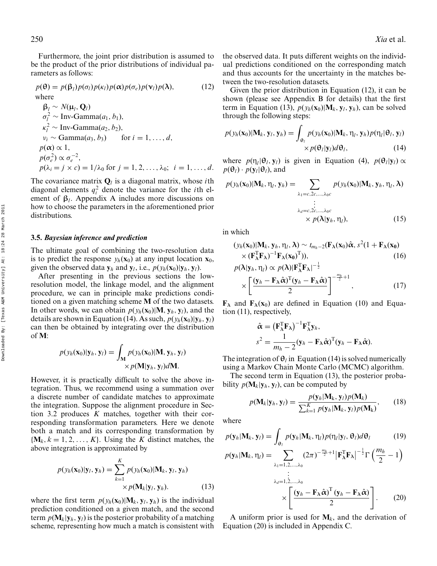Furthermore, the joint prior distribution is assumed to be the product of the prior distributions of individual parameters as follows:

$$
p(\theta) = p(\beta_l) p(\sigma_l) p(\kappa_l) p(\alpha) p(\sigma_e) p(\mathbf{v}_l) p(\mathbf{\lambda}),
$$
\n(12)  
\nwhere  
\n
$$
\beta_l \sim N(\mu_l, \mathbf{Q}_l)
$$
\n
$$
\sigma_l^2 \sim \text{Inv-Gamma}(a_1, b_1),
$$

$$
\kappa_i^2 \sim \text{Inv-Gamma}(a_2, b_2),
$$
  
\n
$$
v_i \sim \text{Gamma}(a_3, b_3) \quad \text{for } i = 1, ..., d,
$$
  
\n
$$
p(\alpha) \propto 1,
$$
  
\n
$$
p(\sigma_e^2) \propto \sigma_e^{-2},
$$
  
\n
$$
p(\lambda_i = j \times c) = 1/\lambda_0 \text{ for } j = 1, 2, ..., \lambda_0; i = 1, ..., d.
$$

The covariance matrix  $\mathbf{Q}_l$  is a diagonal matrix, whose *i*th diagonal elements  $q_i^2$  denote the variance for the *i*th element of  $\beta$ <sup>*l*</sup>. Appendix A includes more discussions on how to choose the parameters in the aforementioned prior distributions.

#### **3.5.** *Bayesian inference and prediction*

The ultimate goal of combining the two-resolution data is to predict the response  $y_h(\mathbf{x}_0)$  at any input location  $\mathbf{x}_0$ , given the observed data  $\mathbf{y}_h$  and  $\mathbf{y}_l$ , i.e.,  $p(y_h(\mathbf{x}_0)|\mathbf{y}_h, \mathbf{y}_l)$ .

After presenting in the previous sections the lowresolution model, the linkage model, and the alignment procedure, we can in principle make predictions conditioned on a given matching scheme **M** of the two datasets. In other words, we can obtain  $p(y_h(\mathbf{x}_0)|\mathbf{M}, \mathbf{y}_h, \mathbf{y}_l)$ , and the details are shown in Equation (14). As such,  $p(y_h(\mathbf{x}_0)|\mathbf{y}_h, \mathbf{y}_l)$ can then be obtained by integrating over the distribution of **M**:

$$
p(y_h(\mathbf{x}_0)|\mathbf{y}_h, \mathbf{y}_l) = \int_{\mathbf{M}} p(y_h(\mathbf{x}_0)|\mathbf{M}, \mathbf{y}_h, \mathbf{y}_l) \times p(\mathbf{M}|\mathbf{y}_h, \mathbf{y}_l) d\mathbf{M}.
$$

However, it is practically difficult to solve the above integration. Thus, we recommend using a summation over a discrete number of candidate matches to approximate the integration. Suppose the alignment procedure in Section 3.2 produces *K* matches, together with their corresponding transformation parameters. Here we denote both a match and its corresponding transformation by  ${M_k, k = 1, 2, ..., K}$ . Using the *K* distinct matches, the above integration is approximated by

$$
p(y_h(\mathbf{x}_0)|\mathbf{y}_l, \mathbf{y}_h) = \sum_{k=1}^K p(y_h(\mathbf{x}_0)|\mathbf{M}_k, \mathbf{y}_l, \mathbf{y}_h)
$$
  
 
$$
\times p(\mathbf{M}_k|\mathbf{y}_l, \mathbf{y}_h).
$$
 (13)

where the first term  $p(y_h(\mathbf{x}_0)|\mathbf{M}_k, \mathbf{y}_l, \mathbf{y}_h)$  is the individual prediction conditioned on a given match, and the second term  $p(\mathbf{M}_k|\mathbf{y}_h, \mathbf{y}_l)$  is the posterior probability of a matching scheme, representing how much a match is consistent with the observed data. It puts different weights on the individual predictions conditioned on the corresponding match and thus accounts for the uncertainty in the matches between the two-resolution datasets.

Given the prior distribution in Equation (12), it can be shown (please see Appendix B for details) that the first term in Equation (13),  $p(y_h(\mathbf{x}_0)|\mathbf{M}_k, \mathbf{y}_l, \mathbf{y}_h)$ , can be solved through the following steps:

$$
p(y_h(\mathbf{x}_0)|\mathbf{M}_k, \mathbf{y}_l, \mathbf{y}_h) = \int_{\Theta_l} p(y_h(\mathbf{x}_0)|\mathbf{M}_k, \eta_l, \mathbf{y}_h) p(\eta_l|\Theta_l, \mathbf{y}_l) \times p(\Theta_l|\mathbf{y}_l)d\Theta_l,
$$
 (14)

where  $p(\eta_l|\theta_l, \mathbf{y}_l)$  is given in Equation (4),  $p(\theta_l|\mathbf{y}_l) \propto$  $p(\theta_l) \cdot p(\mathbf{y}_l|\theta_l)$ , and

$$
p(y_h(\mathbf{x}_0)|\mathbf{M}_k, \eta_l, \mathbf{y}_h) = \sum_{\lambda_1 = c, 2c, ..., \lambda_0 c} p(y_h(\mathbf{x}_0)|\mathbf{M}_k, \mathbf{y}_h, \eta_l, \lambda)
$$
  

$$
\vdots
$$
  

$$
\lambda_d = c, 2c, ..., \lambda_0 c
$$
  

$$
\times p(\lambda|\mathbf{y}_h, \eta_l),
$$
 (15)

in which

$$
(y_h(\mathbf{x}_0)|\mathbf{M}_k, \mathbf{y}_h, \eta_l, \lambda) \sim t_{m_h-2}(\mathbf{F}_{\lambda}(\mathbf{x}_0)\hat{\boldsymbol{\alpha}}, s^2(1 + \mathbf{F}_{\lambda}(\mathbf{x}_0))
$$
  
×  $(\mathbf{F}_{\lambda}^T\mathbf{F}_{\lambda})^{-1}\mathbf{F}_{\lambda}(\mathbf{x}_0)^T)$ ), (16)

$$
p(\lambda|\mathbf{y}_h, \eta_l) \propto p(\lambda) |\mathbf{F}_{\lambda}^{\mathrm{T}} \mathbf{F}_{\lambda}|^{-\frac{1}{2}} \times \left[ \frac{(\mathbf{y}_h - \mathbf{F}_{\lambda} \hat{\boldsymbol{\alpha}})^{\mathrm{T}} (\mathbf{y}_h - \mathbf{F}_{\lambda} \hat{\boldsymbol{\alpha}})}{2} \right]^{-\frac{m_h}{2}+1},
$$
\n(17)

 $\mathbf{F}_{\lambda}$  and  $\mathbf{F}_{\lambda}(\mathbf{x}_0)$  are defined in Equation (10) and Equation (11), respectively,

$$
\hat{\alpha} = (\mathbf{F}_{\lambda}^{\mathrm{T}} \mathbf{F}_{\lambda})^{-1} \mathbf{F}_{\lambda}^{\mathrm{T}} \mathbf{y}_{h},
$$

$$
s^{2} = \frac{1}{m_{h} - 2} (\mathbf{y}_{h} - \mathbf{F}_{\lambda} \hat{\alpha})^{\mathrm{T}} (\mathbf{y}_{h} - \mathbf{F}_{\lambda} \hat{\alpha}).
$$

The integration of  $\theta$ <sup>*l*</sup> in Equation (14) is solved numerically using a Markov Chain Monte Carlo (MCMC) algorithm.

The second term in Equation (13), the posterior probability  $p(\mathbf{M}_k|\mathbf{y}_h, \mathbf{y}_l)$ , can be computed by

$$
p(\mathbf{M}_k|\mathbf{y}_h,\mathbf{y}_l)=\frac{p(\mathbf{y}_h|\mathbf{M}_k,\mathbf{y}_l)p(\mathbf{M}_k)}{\sum_{k=1}^K p(\mathbf{y}_h|\mathbf{M}_k,\mathbf{y}_l)p(\mathbf{M}_k)},\qquad(18)
$$

where

$$
p(\mathbf{y}_h|\mathbf{M}_k,\mathbf{y}_l)=\int_{\Theta_l}p(\mathbf{y}_h|\mathbf{M}_k,\eta_l)p(\eta_l|\mathbf{y}_l,\Theta_l)d\Theta_l
$$
 (19)

$$
p(\mathbf{y}_h|\mathbf{M}_k,\eta_l)=\sum_{\lambda_1=1,2,...,\lambda_0}(2\pi)^{-\frac{m_h}{2}+1}\big|\mathbf{F}_{\boldsymbol{\lambda}}^{\mathrm{T}}\mathbf{F}_{\boldsymbol{\lambda}}\big|^{-\frac{1}{2}}\Gamma\left(\frac{m_h}{2}-1\right)
$$

$$
\times \left[\frac{\mathbf{y}_h - \mathbf{F}_\lambda \hat{\boldsymbol{\alpha}}}{2}\right] \times \left[\frac{(\mathbf{y}_h - \mathbf{F}_\lambda \hat{\boldsymbol{\alpha}})^{\mathrm{T}} (\mathbf{y}_h - \mathbf{F}_\lambda \hat{\boldsymbol{\alpha}})}{2}\right].
$$
 (20)

A uniform prior is used for  $M_k$ , and the derivation of Equation (20) is included in Appendix C.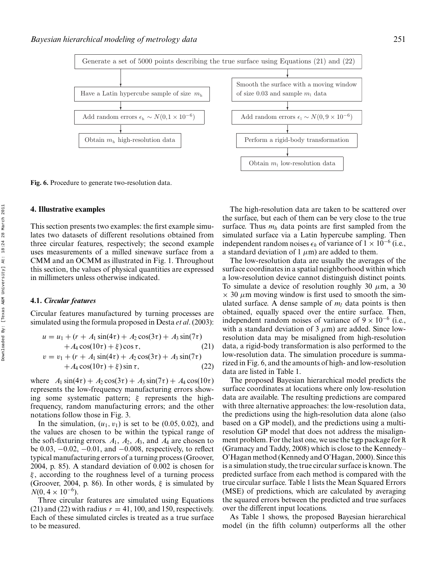

**Fig. 6.** Procedure to generate two-resolution data.

#### **4. Illustrative examples**

This section presents two examples: the first example simulates two datasets of different resolutions obtained from three circular features, respectively; the second example uses measurements of a milled sinewave surface from a CMM and an OCMM as illustrated in Fig. 1. Throughout this section, the values of physical quantities are expressed in millimeters unless otherwise indicated.

#### **4.1.** *Circular features*

Circular features manufactured by turning processes are simulated using the formula proposed in Desta *et al*. (2003):

$$
u = u_1 + (r + A_1 \sin(4\tau) + A_2 \cos(3\tau) + A_3 \sin(7\tau) + A_4 \cos(10\tau) + \xi \cos \tau,
$$
 (21)

$$
v = v_1 + (r + A_1 \sin(4\tau) + A_2 \cos(3\tau) + A_3 \sin(7\tau) + A_4 \cos(10\tau) + \xi \sin \tau,
$$
 (22)

where  $A_1 \sin(4\tau) + A_2 \cos(3\tau) + A_3 \sin(7\tau) + A_4 \cos(10\tau)$ represents the low-frequency manufacturing errors showing some systematic pattern;  $\xi$  represents the highfrequency, random manufacturing errors; and the other notations follow those in Fig. 3.

In the simulation,  $(u_1, v_1)$  is set to be  $(0.05, 0.02)$ , and the values are chosen to be within the typical range of the soft-fixturing errors.  $A_1$ ,  $A_2$ ,  $A_3$ , and  $A_4$  are chosen to be 0.03, −0.02, −0.01, and −0.008, respectively, to reflect typical manufacturing errors of a turning process (Groover, 2004, p. 85). A standard deviation of 0.002 is chosen for  $\xi$ , according to the roughness level of a turning process (Groover, 2004, p. 86). In other words,  $\xi$  is simulated by  $N(0, 4 \times 10^{-6}).$ 

Three circular features are simulated using Equations (21) and (22) with radius  $r = 41, 100,$  and 150, respectively. Each of these simulated circles is treated as a true surface to be measured.

The high-resolution data are taken to be scattered over the surface, but each of them can be very close to the true surface. Thus *mh* data points are first sampled from the simulated surface via a Latin hypercube sampling. Then independent random noises  $\epsilon_h$  of variance of  $1 \times 10^{-6}$  (i.e., a standard deviation of 1  $\mu$ m) are added to them.

The low-resolution data are usually the averages of the surface coordinates in a spatial neighborhood within which a low-resolution device cannot distinguish distinct points. To simulate a device of resolution roughly 30  $\mu$ m, a 30  $\times$  30  $\mu$ m moving window is first used to smooth the simulated surface. A dense sample of  $m_l$  data points is then obtained, equally spaced over the entire surface. Then, independent random noises of variance of  $9 \times 10^{-6}$  (i.e., with a standard deviation of 3  $\mu$ m) are added. Since lowresolution data may be misaligned from high-resolution data, a rigid-body transformation is also performed to the low-resolution data. The simulation procedure is summarized in Fig. 6, and the amounts of high- and low-resolution data are listed in Table 1.

The proposed Bayesian hierarchical model predicts the surface coordinates at locations where only low-resolution data are available. The resulting predictions are compared with three alternative approaches: the low-resolution data, the predictions using the high-resolution data alone (also based on a GP model), and the predictions using a multiresolution GP model that does not address the misalignment problem. For the last one, we use the tgp package for <sup>R</sup> (Gramacy and Taddy, 2008) which is close to the Kennedy– O'Hagan method (Kennedy and O'Hagan, 2000). Since this is a simulation study, the true circular surface is known. The predicted surface from each method is compared with the true circular surface. Table 1 lists the Mean Squared Errors (MSE) of predictions, which are calculated by averaging the squared errors between the predicted and true surfaces over the different input locations.

As Table 1 shows, the proposed Bayesian hierarchical model (in the fifth column) outperforms all the other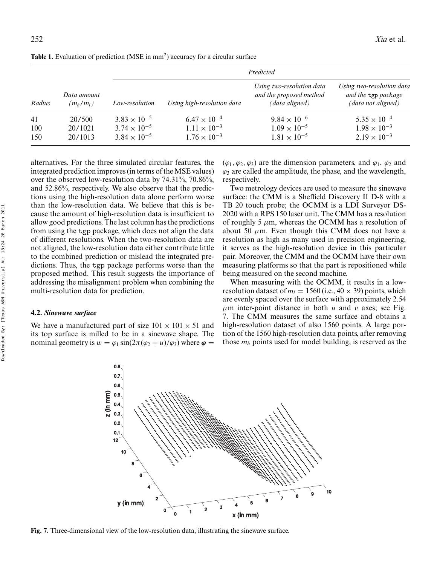|        | Data amount<br>$(m_h/m_l)$ | Predicted             |                            |                                                                        |                                                                        |  |
|--------|----------------------------|-----------------------|----------------------------|------------------------------------------------------------------------|------------------------------------------------------------------------|--|
| Radius |                            | Low-resolution        | Using high-resolution data | Using two-resolution data<br>and the proposed method<br>(data aligned) | Using two-resolution data<br>and the tgp package<br>(data not aligned) |  |
| 41     | 20/500                     | $3.83 \times 10^{-5}$ | $6.47 \times 10^{-4}$      | $9.84 \times 10^{-6}$                                                  | $5.35 \times 10^{-4}$                                                  |  |
| 100    | 20/1021                    | $3.74 \times 10^{-5}$ | $1.11 \times 10^{-3}$      | $1.09 \times 10^{-5}$                                                  | $1.98 \times 10^{-3}$                                                  |  |
| 150    | 20/1013                    | $3.84 \times 10^{-5}$ | $1.76 \times 10^{-3}$      | $1.81 \times 10^{-5}$                                                  | $2.19 \times 10^{-3}$                                                  |  |

**Table 1.** Evaluation of prediction (MSE in mm<sup>2</sup>) accuracy for a circular surface

alternatives. For the three simulated circular features, the integrated prediction improves (in terms of the MSE values) over the observed low-resolution data by 74.31%, 70.86%, and 52.86%, respectively. We also observe that the predictions using the high-resolution data alone perform worse than the low-resolution data. We believe that this is because the amount of high-resolution data is insufficient to allow good predictions. The last column has the predictions from using the tgp package, which does not align the data of different resolutions. When the two-resolution data are not aligned, the low-resolution data either contribute little to the combined prediction or mislead the integrated predictions. Thus, the tgp package performs worse than the proposed method. This result suggests the importance of addressing the misalignment problem when combining the multi-resolution data for prediction.

#### **4.2.** *Sinewave surface*

We have a manufactured part of size  $101 \times 101 \times 51$  and its top surface is milled to be in a sinewave shape. The nominal geometry is  $w = \varphi_1 \sin(2\pi (\varphi_2 + u)/\varphi_3)$  where  $\varphi =$ 

 $(\varphi_1, \varphi_2, \varphi_3)$  are the dimension parameters, and  $\varphi_1$ ,  $\varphi_2$  and  $\varphi_3$  are called the amplitude, the phase, and the wavelength, respectively.

Two metrology devices are used to measure the sinewave surface: the CMM is a Sheffield Discovery II D-8 with a TB 20 touch probe; the OCMM is a LDI Surveyor DS-2020 with a RPS 150 laser unit. The CMM has a resolution of roughly 5  $\mu$ m, whereas the OCMM has a resolution of about 50  $\mu$ m. Even though this CMM does not have a resolution as high as many used in precision engineering, it serves as the high-resolution device in this particular pair. Moreover, the CMM and the OCMM have their own measuring platforms so that the part is repositioned while being measured on the second machine.

When measuring with the OCMM, it results in a lowresolution dataset of  $m_l = 1560$  (i.e.,  $40 \times 39$ ) points, which are evenly spaced over the surface with approximately 2.54  $\mu$ m inter-point distance in both  $u$  and  $v$  axes; see Fig. 7. The CMM measures the same surface and obtains a high-resolution dataset of also 1560 points. A large portion of the 1560 high-resolution data points, after removing those *mh* points used for model building, is reserved as the



**Fig. 7.** Three-dimensional view of the low-resolution data, illustrating the sinewave surface.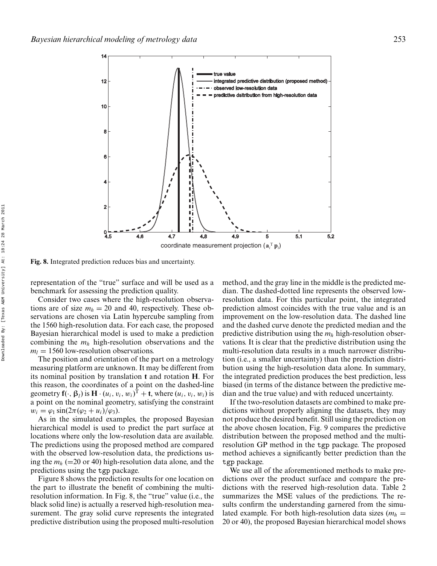

**Fig. 8.** Integrated prediction reduces bias and uncertainty.

representation of the "true" surface and will be used as a benchmark for assessing the prediction quality.

Consider two cases where the high-resolution observations are of size  $m_h = 20$  and 40, respectively. These observations are chosen via Latin hypercube sampling from the 1560 high-resolution data. For each case, the proposed Bayesian hierarchical model is used to make a prediction combining the *mh* high-resolution observations and the  $m_l = 1560$  low-resolution observations.

The position and orientation of the part on a metrology measuring platform are unknown. It may be different from its nominal position by translation **t** and rotation **H**. For this reason, the coordinates of a point on the dashed-line geometry  $\mathbf{f}(\cdot, \boldsymbol{\beta}_l)$  is  $\mathbf{H} \cdot (u_i, v_i, w_i)^{\mathrm{T}} + \mathbf{t}$ , where  $(u_i, v_i, w_i)$  is a point on the nominal geometry, satisfying the constraint  $w_i = \varphi_1 \sin(2\pi (\varphi_2 + u_i)/\varphi_3).$ 

As in the simulated examples, the proposed Bayesian hierarchical model is used to predict the part surface at locations where only the low-resolution data are available. The predictions using the proposed method are compared with the observed low-resolution data, the predictions using the  $m_h$  (=20 or 40) high-resolution data alone, and the predictions using the tgp package.

Figure 8 shows the prediction results for one location on the part to illustrate the benefit of combining the multiresolution information. In Fig. 8, the "true" value (i.e., the black solid line) is actually a reserved high-resolution measurement. The gray solid curve represents the integrated predictive distribution using the proposed multi-resolution method, and the gray line in the middle is the predicted median. The dashed-dotted line represents the observed lowresolution data. For this particular point, the integrated prediction almost coincides with the true value and is an improvement on the low-resolution data. The dashed line and the dashed curve denote the predicted median and the predictive distribution using the *mh* high-resolution observations. It is clear that the predictive distribution using the multi-resolution data results in a much narrower distribution (i.e., a smaller uncertainty) than the prediction distribution using the high-resolution data alone. In summary, the integrated prediction produces the best prediction, less biased (in terms of the distance between the predictive median and the true value) and with reduced uncertainty.

If the two-resolution datasets are combined to make predictions without properly aligning the datasets, they may not produce the desired benefit. Still using the prediction on the above chosen location, Fig. 9 compares the predictive distribution between the proposed method and the multiresolution GP method in the tgp package. The proposed method achieves a significantly better prediction than the tgp package.

We use all of the aforementioned methods to make predictions over the product surface and compare the predictions with the reserved high-resolution data. Table 2 summarizes the MSE values of the predictions. The results confirm the understanding garnered from the simulated example. For both high-resolution data sizes  $(m_h =$ 20 or 40), the proposed Bayesian hierarchical model shows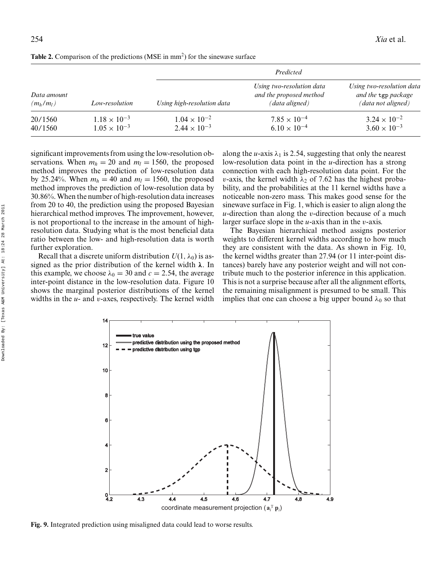|                            |                                                | Predicted                                      |                                                                        |                                                                        |  |
|----------------------------|------------------------------------------------|------------------------------------------------|------------------------------------------------------------------------|------------------------------------------------------------------------|--|
| Data amount<br>$(m_h/m_l)$ | Low-resolution                                 | Using high-resolution data                     | Using two-resolution data<br>and the proposed method<br>(data aligned) | Using two-resolution data<br>and the tgp package<br>(data not aligned) |  |
| 20/1560<br>40/1560         | $1.18 \times 10^{-3}$<br>$1.05 \times 10^{-3}$ | $1.04 \times 10^{-2}$<br>$2.44 \times 10^{-3}$ | $7.85 \times 10^{-4}$<br>$6.10 \times 10^{-4}$                         | $3.24 \times 10^{-2}$<br>$3.60 \times 10^{-3}$                         |  |

Table 2. Comparison of the predictions (MSE in mm<sup>2</sup>) for the sinewave surface

significant improvements from using the low-resolution observations. When  $m_h = 20$  and  $m_l = 1560$ , the proposed method improves the prediction of low-resolution data by 25.24%. When  $m_h = 40$  and  $m_l = 1560$ , the proposed method improves the prediction of low-resolution data by 30.86%.When the number of high-resolution data increases from 20 to 40, the prediction using the proposed Bayesian hierarchical method improves. The improvement, however, is not proportional to the increase in the amount of highresolution data. Studying what is the most beneficial data ratio between the low- and high-resolution data is worth further exploration.

Recall that a discrete uniform distribution  $U(1, \lambda_0)$  is assigned as the prior distribution of the kernel width *λ*. In this example, we choose  $\lambda_0 = 30$  and  $c = 2.54$ , the average inter-point distance in the low-resolution data. Figure 10 shows the marginal posterior distributions of the kernel widths in the *u*- and v-axes, respectively. The kernel width along the *u*-axis  $\lambda_1$  is 2.54, suggesting that only the nearest low-resolution data point in the *u*-direction has a strong connection with each high-resolution data point. For the *v*-axis, the kernel width  $\lambda_2$  of 7.62 has the highest probability, and the probabilities at the 11 kernel widths have a noticeable non-zero mass. This makes good sense for the sinewave surface in Fig. 1, which is easier to align along the *u*-direction than along the v-direction because of a much larger surface slope in the *u*-axis than in the v-axis.

The Bayesian hierarchical method assigns posterior weights to different kernel widths according to how much they are consistent with the data. As shown in Fig. 10, the kernel widths greater than 27.94 (or 11 inter-point distances) barely have any posterior weight and will not contribute much to the posterior inference in this application. This is not a surprise because after all the alignment efforts, the remaining misalignment is presumed to be small. This implies that one can choose a big upper bound  $\lambda_0$  so that



**Fig. 9.** Integrated prediction using misaligned data could lead to worse results.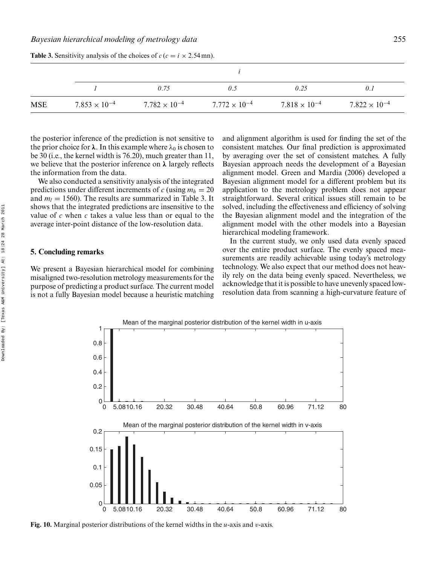|            |                        | 0.75                   | 0.5                    | 0.25                   | 0.I                    |  |  |
|------------|------------------------|------------------------|------------------------|------------------------|------------------------|--|--|
| <b>MSE</b> | $7.853 \times 10^{-4}$ | $7.782 \times 10^{-4}$ | $7.772 \times 10^{-4}$ | $7.818 \times 10^{-4}$ | $7.822 \times 10^{-4}$ |  |  |

**Table 3.** Sensitivity analysis of the choices of  $c$  ( $c = i \times 2.54$  mn).

the posterior inference of the prediction is not sensitive to the prior choice for  $\lambda$ . In this example where  $\lambda_0$  is chosen to be 30 (i.e., the kernel width is 76.20), much greater than 11, we believe that the posterior inference on *λ* largely reflects the information from the data.

We also conducted a sensitivity analysis of the integrated predictions under different increments of  $c$  (using  $m_h = 20$ and  $m_l = 1560$ ). The results are summarized in Table 3. It shows that the integrated predictions are insensitive to the value of *c* when *c* takes a value less than or equal to the average inter-point distance of the low-resolution data.

### **5. Concluding remarks**

We present a Bayesian hierarchical model for combining misaligned two-resolution metrology measurements for the purpose of predicting a product surface. The current model is not a fully Bayesian model because a heuristic matching and alignment algorithm is used for finding the set of the consistent matches. Our final prediction is approximated by averaging over the set of consistent matches. A fully Bayesian approach needs the development of a Bayesian alignment model. Green and Mardia (2006) developed a Bayesian alignment model for a different problem but its application to the metrology problem does not appear straightforward. Several critical issues still remain to be solved, including the effectiveness and efficiency of solving the Bayesian alignment model and the integration of the alignment model with the other models into a Bayesian hierarchical modeling framework.

In the current study, we only used data evenly spaced over the entire product surface. The evenly spaced measurements are readily achievable using today's metrology technology. We also expect that our method does not heavily rely on the data being evenly spaced. Nevertheless, we acknowledge that it is possible to have unevenly spaced lowresolution data from scanning a high-curvature feature of



**Fig. 10.** Marginal posterior distributions of the kernel widths in the *u*-axis and v-axis.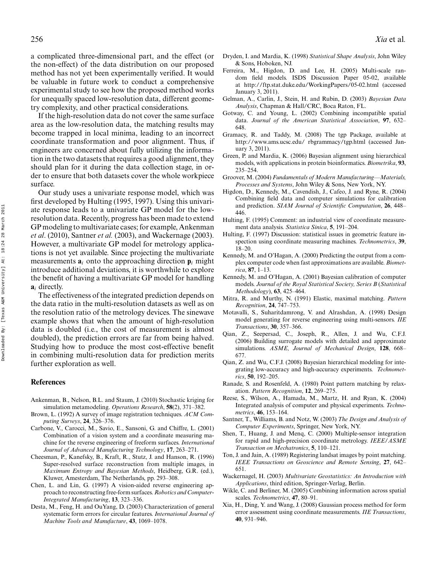If the high-resolution data do not cover the same surface area as the low-resolution data, the matching results may become trapped in local minima, leading to an incorrect coordinate transformation and poor alignment. Thus, if engineers are concerned about fully utilizing the information in the two datasets that requires a good alignment, they should plan for it during the data collection stage, in order to ensure that both datasets cover the whole workpiece surface.

Our study uses a univariate response model, which was first developed by Hulting (1995, 1997). Using this univariate response leads to a univariate GP model for the lowresolution data. Recently, progress has been made to extend GP modeling to multivariate cases; for example, Ankenman *et al*. (2010), Santner *et al.* (2003), and Wackernage (2003). However, a multivariate GP model for metrology applications is not yet available. Since projecting the multivariate measurements  $\mathbf{a}_i$  onto the approaching direction  $\mathbf{p}_i$  might introduce additional deviations, it is worthwhile to explore the benefit of having a multivariate GP model for handling **a***<sup>i</sup>* directly.

The effectiveness of the integrated prediction depends on the data ratio in the multi-resolution datasets as well as on the resolution ratio of the metrology devices. The sinewave example shows that when the amount of high-resolution data is doubled (i.e., the cost of measurement is almost doubled), the prediction errors are far from being halved. Studying how to produce the most cost-effective benefit in combining multi-resolution data for prediction merits further exploration as well.

#### **References**

- Ankenman, B., Nelson, B.L. and Staum, J. (2010) Stochastic kriging for simulation metamodeling. *Operations Research*, **58**(2), 371–382.
- Brown, L. (1992) A survey of image registration techniques. *ACM Computing Surveys*, **24**, 326–376.
- Carbone, V., Carocci, M., Savio, E., Sansoni, G. and Chiffre, L. (2001) Combination of a vision system and a coordinate measuring machine for the reverse engineering of freeform surfaces. *International Journal of Advanced Manufacturing Technology*, **17**, 263–271.
- Cheesman, P., Kanefsky, B., Kraft, R., Stutz, J. and Hanson, R. (1996) Super-resolved surface reconstruction from multiple images, in *Maximum Entropy and Bayesian Methods*, Heidberg, G.R. (ed.), Kluwer, Amesterdam, The Netherlands, pp. 293–308.
- Chen, L. and Lin, G. (1997) A vision-aided reverse engineering approach to reconstructing free-form surfaces. *Robotics and Computer-Integrated Manufacturing*, **13**, 323–336.
- Desta, M., Feng, H. and OuYang, D. (2003) Characterization of general systematic form errors for circular features. *International Journal of Machine Tools and Manufacture*, **43**, 1069–1078.
- Dryden, I. and Mardia, K. (1998) *Statistical Shape Analysis*, John Wiley & Sons, Hoboken, NJ.
- Ferreira, M., Higdon, D. and Lee, H. (2005) Multi-scale random field models. ISDS Discussion Paper 05-02, available at http://ftp.stat.duke.edu/WorkingPapers/05-02.html (accessed January 3, 2011).
- Gelman, A., Carlin, J., Stein, H. and Rubin, D. (2003) *Bayesian Data Analysis*, Chapman & Hall/CRC, Boca Raton, FL.
- Gotway, C. and Young, L. (2002) Combining incompatible spatial data. *Journal of the American Statistical Association*, **97**, 632– 648.
- Gramacy, R. and Taddy, M. (2008) The tgp Package, available at http://www.ams.ucsc.edu/ rbgrammacy/tgp.html (accessed January 3, 2011).
- Green, P. and Mardia, K. (2006) Bayesian alignment using hierarchical models, with applications in protein bioinformatics. *Biometrika*, **93**, 235–254.
- Groover, M. (2004) *Fundamentals of Modern Manufacturing—Materials, Processes and Systems*, John Wiley & Sons, New York, NY.
- Higdon, D., Kennedy, M., Cavendish, J., Cafeo, J. and Ryne, R. (2004) Combining field data and computer simulations for calibration and prediction. *SIAM Journal of Scientific Computation*, **26**, 448– 446.
- Hulting, F. (1995) Comment: an industrial view of coordinate measurement data analysis. *Statistica Sinica*, **5**, 191–204.
- Hulting, F. (1997) Discussion: statistical issues in geometric feature inspection using coordinate measuring machines. *Technometrics*, **39**, 18–20.
- Kennedy, M. and O'Hagan, A. (2000) Predicting the output from a complex computer code when fast approximations are available. *Biometrica*, **87**, 1–13.
- Kennedy, M. and O'Hagan, A. (2001) Bayesian calibration of computer models. *Journal of the Royal Statistical Society, Series B* (*Statistical Methodology*), **63**, 425–464.
- Mitra, R. and Murthy, N. (1991) Elastic, maximal matching. *Pattern Recognition*, **24**, 747–753.
- Motavalli, S., Suharitdamrong, V. and Alrashdan, A. (1998) Design model generating for reverse engineering using multi-sensors. *IIE Transactions*, **30**, 357–366.
- Qian, Z., Seepersad, C., Joseph, R., Allen, J. and Wu, C.F.J. (2006) Building surrogate models with detailed and approximate simulations. *ASME, Journal of Mechanical Design*, **128**, 668– 677.
- Qian, Z. and Wu, C.F.J. (2008) Bayesian hierarchical modeling for integrating low-accuracy and high-accuracy experiments. *Technometrics*, **50**, 192–205.
- Ranade, S. and Rosenfeld, A. (1980) Point pattern matching by relaxation. *Pattern Recognition*, **12**, 269–275.
- Reese, S., Wilson, A., Hamada, M., Martz, H. and Ryan, K. (2004) Integrated analysis of computer and physical experiments. *Technometrics*, **46**, 153–164.
- Santner, T., Williams, B. and Notz, W. (2003) *The Design and Analysis of Computer Experiments*, Springer, New York, NY.
- Shen, T., Huang, J. and Menq, C. (2000) Multiple-sensor integration for rapid and high-precision coordinate metrology. *IEEE/ASME Transaction on Mechatronics*, **5**, 110–121.
- Ton, J. and Jain, A. (1989) Registering landsat images by point matching. *IEEE Transactions on Geoscience and Remote Sensing*, **27**, 642– 651.
- Wackernagel, H. (2003) *Multivariate Geostatistics: An Introduction with Applications*, third edition, Springer-Verlag, Berlin.
- Wikle, C. and Berliner, M. (2005) Combining information across spatial scales. *Technometrics*, **47**, 80–91.
- Xia, H., Ding, Y. and Wang, J. (2008) Gaussian process method for form error assessment using coordinate measurements. *IIE Transactions*, **40**, 931–946.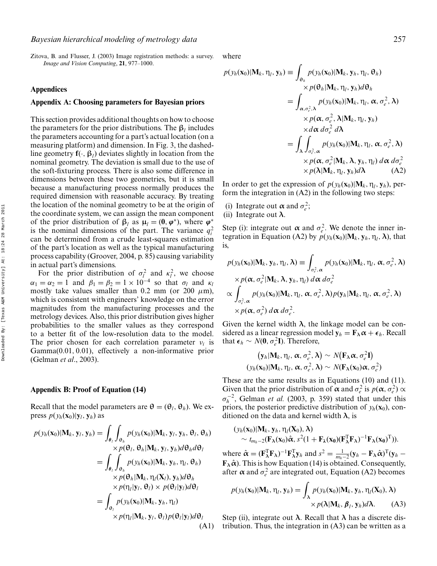Zitova, B. and Flusser, J. (2003) Image registration methods: a survey. *Image and Vision Computing*, **21**, 977–1000.

#### **Appendices**

#### **Appendix A: Choosing parameters for Bayesian priors**

This section provides additional thoughts on how to choose the parameters for the prior distributions. The  $\beta$ <sup>*l*</sup> includes the parameters accounting for a part's actual location (on a measuring platform) and dimension. In Fig. 3, the dashedline geometry  $f(\cdot, \beta)$  deviates slightly in location from the nominal geometry. The deviation is small due to the use of the soft-fixturing process. There is also some difference in dimensions between these two geometries, but it is small because a manufacturing process normally produces the required dimension with reasonable accuracy. By treating the location of the nominal geometry to be at the origin of the coordinate system, we can assign the mean component of the prior distribution of  $\beta_l$  as  $\mu_l = (0, \varphi^*)$ , where  $\varphi^*$ is the nominal dimensions of the part. The variance  $q_i^2$ can be determined from a crude least-squares estimation of the part's location as well as the typical manufacturing process capability (Groover, 2004, p. 85) causing variability in actual part's dimensions.

For the prior distribution of  $\sigma_l^2$  and  $\kappa_l^2$ , we choose  $\alpha_1 = \alpha_2 = 1$  and  $\beta_1 = \beta_2 = 1 \times 10^{-4}$  so that  $\sigma_l$  and  $\kappa_l$ mostly take values smaller than 0.2 mm (or 200  $\mu$ m), which is consistent with engineers' knowledge on the error magnitudes from the manufacturing processes and the metrology devices. Also, this prior distribution gives higher probabilities to the smaller values as they correspond to a better fit of the low-resolution data to the model. The prior chosen for each correlation parameter  $v_i$  is Gamma(0.01, 0.01), effectively a non-informative prior (Gelman *et al*., 2003).

#### **Appendix B: Proof of Equation (14)**

Recall that the model parameters are  $\theta = (\theta_l, \theta_h)$ . We express  $p(y_h(\mathbf{x}_0)|\mathbf{y}_l, \mathbf{y}_h)$  as

$$
p(y_h(\mathbf{x}_0)|\mathbf{M}_k, \mathbf{y}_l, \mathbf{y}_h) = \int_{\theta_l} \int_{\Theta_h} p(y_h(\mathbf{x}_0)|\mathbf{M}_k, \mathbf{y}_l, \mathbf{y}_h, \theta_l, \theta_h)
$$
  
\n
$$
\times p(\theta_l, \theta_h|\mathbf{M}_k, \mathbf{y}_l, \mathbf{y}_h) d\theta_h d\theta_l
$$
  
\n
$$
= \int_{\theta_l} \int_{\Theta_h} p(y_h(\mathbf{x}_0)|\mathbf{M}_k, \mathbf{y}_h, \eta_l, \theta_h)
$$
  
\n
$$
\times p(\theta_h|\mathbf{M}_k, \eta_l(\mathbf{X}_l), \mathbf{y}_h) d\theta_h
$$
  
\n
$$
\times p(\eta_l|\mathbf{y}_l, \theta_l) \times p(\theta_l|\mathbf{y}_l) d\theta_l
$$
  
\n
$$
= \int_{\Theta_l} p(y_h(\mathbf{x}_0)|\mathbf{M}_k, \mathbf{y}_h, \eta_l)
$$
  
\n
$$
\times p(\eta_l|\mathbf{M}_k, \mathbf{y}_l, \theta_l) p(\theta_l|\mathbf{y}_l) d\theta_l
$$
  
\n(A1)

where

$$
p(y_h(\mathbf{x}_0)|\mathbf{M}_k, \eta_l, \mathbf{y}_h) \equiv \int_{\Theta_h} p(y_h(\mathbf{x}_0)|\mathbf{M}_k, \mathbf{y}_h, \eta_l, \Theta_h)
$$
  
\n
$$
\times p(\Theta_h|\mathbf{M}_k, \eta_l, \mathbf{y}_h) d\Theta_h
$$
  
\n
$$
= \int_{\alpha, \sigma_e^2, \lambda} p(y_h(\mathbf{x}_0)|\mathbf{M}_k, \eta_l, \alpha, \sigma_e^2, \lambda)
$$
  
\n
$$
\times p(\alpha, \sigma_e^2, \lambda|\mathbf{M}_k, \eta_l, \mathbf{y}_h)
$$
  
\n
$$
\times d\alpha \, d\sigma_e^2 \, d\lambda
$$
  
\n
$$
= \int_{\lambda} \int_{\sigma_e^2, \alpha} p(y_h(\mathbf{x}_0)|\mathbf{M}_k, \eta_l, \alpha, \sigma_e^2, \lambda)
$$
  
\n
$$
\times p(\alpha, \sigma_e^2|\mathbf{M}_k, \lambda, \mathbf{y}_h, \eta_l) \, d\alpha \, d\sigma_e^2
$$
  
\n
$$
\times p(\lambda|\mathbf{M}_k, \eta_l, \mathbf{y}_h) d\lambda \qquad (A2)
$$

In order to get the expression of  $p(y_h(\mathbf{x}_0)|\mathbf{M}_k, \eta_l, \mathbf{y}_h)$ , perform the integration in (A2) in the following two steps:

(i) Integrate out  $\alpha$  and  $\sigma_e^2$ ;

(ii) Integrate out **λ**.

Step (i): integrate out  $\alpha$  and  $\sigma_e^2$ . We denote the inner integration in Equation (A2) by  $p(y_h(\mathbf{x}_0)|\mathbf{M}_k, \mathbf{y}_h, \eta_l, \lambda)$ , that is,

$$
p(y_h(\mathbf{x}_0)|\mathbf{M}_k, \mathbf{y}_h, \eta_l, \lambda) \equiv \int_{\sigma_e^2, \alpha} p(y_h(\mathbf{x}_0)|\mathbf{M}_k, \eta_l, \alpha, \sigma_e^2, \lambda)
$$
  
×  $p(\alpha, \sigma_e^2|\mathbf{M}_k, \lambda, \mathbf{y}_h, \eta_l) d\alpha d\sigma_e^2$   
 $\propto \int_{\sigma_e^2, \alpha} p(y_h(\mathbf{x}_0)|\mathbf{M}_k, \eta_l, \alpha, \sigma_e^2, \lambda) p(\mathbf{y}_h|\mathbf{M}_k, \eta_l, \alpha, \sigma_e^2, \lambda)$   
×  $p(\alpha, \sigma_e^2) d\alpha d\sigma_e^2$ .

Given the kernel width  $\lambda$ , the linkage model can be considered as a linear regression model  $y_h = F_\lambda \alpha + \epsilon_h$ . Recall that  $\epsilon_h \sim N(0, \sigma_e^2 I)$ . Therefore,

$$
(\mathbf{y}_h|\mathbf{M}_k, \eta_l, \boldsymbol{\alpha}, \sigma_e^2, \boldsymbol{\lambda}) \sim N(\mathbf{F}_{\boldsymbol{\lambda}}\boldsymbol{\alpha}, \sigma_e^2\mathbf{I})
$$
  

$$
(\mathbf{y}_h(\mathbf{x}_0)|\mathbf{M}_k, \eta_l, \boldsymbol{\alpha}, \sigma_e^2, \boldsymbol{\lambda}) \sim N(\mathbf{F}_{\boldsymbol{\lambda}}(\mathbf{x}_0)\boldsymbol{\alpha}, \sigma_e^2)
$$

These are the same results as in Equations (10) and (11). Given that the prior distribution of  $\alpha$  and  $\sigma_e^2$  is  $p(\alpha, \sigma_e^2) \propto$  $\sigma_h^{-2}$ , Gelman *et al.* (2003, p. 359) stated that under this priors, the posterior predictive distribution of  $y_h(\mathbf{x}_0)$ , conditioned on the data and kernel width **λ**, is

$$
(y_h(\mathbf{x}_0)|\mathbf{M}_k, \mathbf{y}_h, \eta_l(\mathbf{X}_0), \lambda) \sim t_{m_h-2}(\mathbf{F}_{\lambda}(\mathbf{x}_0)\hat{\boldsymbol{\alpha}}, s^2(1 + \mathbf{F}_{\lambda}(\mathbf{x}_0)(\mathbf{F}_{\lambda}^T\mathbf{F}_{\lambda})^{-1}\mathbf{F}_{\lambda}(\mathbf{x}_0)^T)).
$$

where  $\hat{\alpha} = (\mathbf{F}_{\lambda}^{\mathrm{T}}\mathbf{F}_{\lambda})^{-1}\mathbf{F}_{\lambda}^{\mathrm{T}}\mathbf{y}_h$  and  $s^2 = \frac{1}{m_h-2}(\mathbf{y}_h - \mathbf{F}_{\lambda}\hat{\alpha})^{\mathrm{T}}(\mathbf{y}_h - \hat{\mathbf{y}})$  $\mathbf{F}_{\lambda} \hat{\boldsymbol{\alpha}}$ ). This is how Equation (14) is obtained. Consequently, after  $\alpha$  and  $\sigma_e^2$  are integrated out, Equation (A2) becomes

$$
p(y_h(\mathbf{x}_0)|\mathbf{M}_k, \eta_l, \mathbf{y}_h) = \int_{\lambda} p(y_h(\mathbf{x}_0)|\mathbf{M}_k, \mathbf{y}_h, \eta_l(\mathbf{X}_0), \lambda) \times p(\lambda|\mathbf{M}_k, \beta_l, \mathbf{y}_h) d\lambda.
$$
 (A3)

Step (ii), integrate out  $\lambda$ . Recall that  $\lambda$  has a discrete distribution. Thus, the integration in (A3) can be written as a